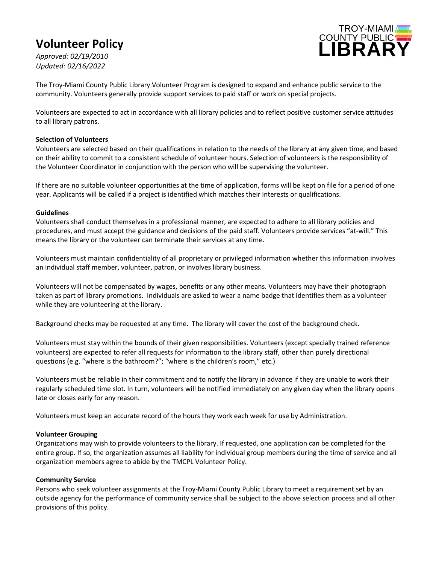# **Volunteer Policy**

TROY-MIAMI COUNTY PUBLIC<sup>"</sup>

*Approved: 02/19/2010 Updated: 02/16/2022*

The Troy-Miami County Public Library Volunteer Program is designed to expand and enhance public service to the community. Volunteers generally provide support services to paid staff or work on special projects.

Volunteers are expected to act in accordance with all library policies and to reflect positive customer service attitudes to all library patrons.

### **Selection of Volunteers**

Volunteers are selected based on their qualifications in relation to the needs of the library at any given time, and based on their ability to commit to a consistent schedule of volunteer hours. Selection of volunteers is the responsibility of the Volunteer Coordinator in conjunction with the person who will be supervising the volunteer.

If there are no suitable volunteer opportunities at the time of application, forms will be kept on file for a period of one year. Applicants will be called if a project is identified which matches their interests or qualifications.

#### **Guidelines**

Volunteers shall conduct themselves in a professional manner, are expected to adhere to all library policies and procedures, and must accept the guidance and decisions of the paid staff. Volunteers provide services "at-will." This means the library or the volunteer can terminate their services at any time.

Volunteers must maintain confidentiality of all proprietary or privileged information whether this information involves an individual staff member, volunteer, patron, or involves library business.

Volunteers will not be compensated by wages, benefits or any other means. Volunteers may have their photograph taken as part of library promotions.Individuals are asked to wear a name badge that identifies them as a volunteer while they are volunteering at the library.

Background checks may be requested at any time. The library will cover the cost of the background check.

Volunteers must stay within the bounds of their given responsibilities. Volunteers (except specially trained reference volunteers) are expected to refer all requests for information to the library staff, other than purely directional questions (e.g. "where is the bathroom?"; "where is the children's room," etc.)

Volunteers must be reliable in their commitment and to notify the library in advance if they are unable to work their regularly scheduled time slot. In turn, volunteers will be notified immediately on any given day when the library opens late or closes early for any reason.

Volunteers must keep an accurate record of the hours they work each week for use by Administration.

#### **Volunteer Grouping**

Organizations may wish to provide volunteers to the library. If requested, one application can be completed for the entire group. If so, the organization assumes all liability for individual group members during the time of service and all organization members agree to abide by the TMCPL Volunteer Policy.

## **Community Service**

Persons who seek volunteer assignments at the Troy-Miami County Public Library to meet a requirement set by an outside agency for the performance of community service shall be subject to the above selection process and all other provisions of this policy.